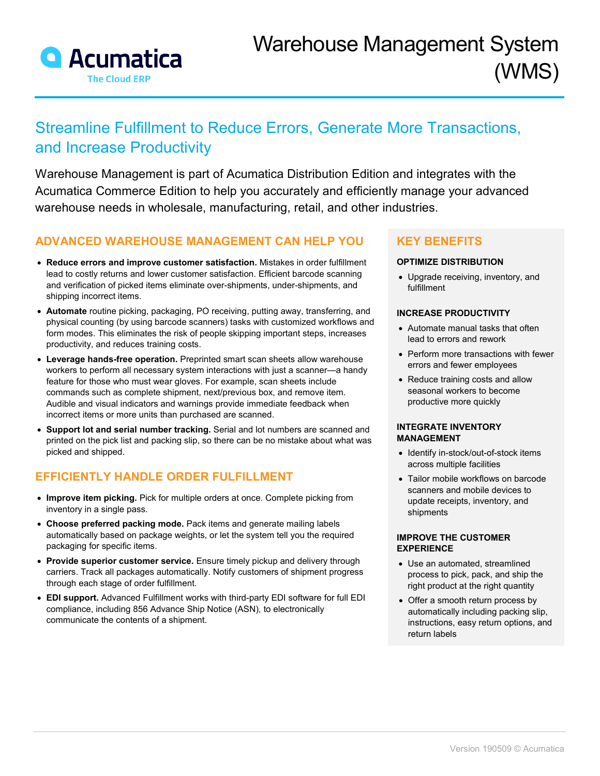

# Streamline Fulfillment to Reduce Errors, Generate More Transactions, and Increase Productivity

Warehouse Management is part of Acumatica Distribution Edition and integrates with the Acumatica Commerce Edition to help you accurately and efficiently manage your advanced warehouse needs in wholesale, manufacturing, retail, and other industries.

## **ADVANCED WAREHOUSE MANAGEMENT CAN HELP YOU**

- **Reduce errors and improve customer satisfaction.** Mistakes in order fulfillment lead to costly returns and lower customer satisfaction. Efficient barcode scanning and verification of picked items eliminate over-shipments, under-shipments, and shipping incorrect items.
- **Automate** routine picking, packaging, PO receiving, putting away, transferring, and physical counting (by using barcode scanners) tasks with customized workflows and form modes. This eliminates the risk of people skipping important steps, increases productivity, and reduces training costs.
- **Leverage hands-free operation.** Preprinted smart scan sheets allow warehouse workers to perform all necessary system interactions with just a scanner—a handy feature for those who must wear gloves. For example, scan sheets include commands such as complete shipment, next/previous box, and remove item. Audible and visual indicators and warnings provide immediate feedback when incorrect items or more units than purchased are scanned.
- **Support lot and serial number tracking.** Serial and lot numbers are scanned and printed on the pick list and packing slip, so there can be no mistake about what was picked and shipped.

## **EFFICIENTLY HANDLE ORDER FULFILLMENT**

- **Improve item picking.** Pick for multiple orders at once. Complete picking from inventory in a single pass.
- **Choose preferred packing mode.** Pack items and generate mailing labels automatically based on package weights, or let the system tell you the required packaging for specific items.
- **Provide superior customer service.** Ensure timely pickup and delivery through carriers. Track all packages automatically. Notify customers of shipment progress through each stage of order fulfillment.
- **EDI support.** Advanced Fulfillment works with third-party EDI software for full EDI compliance, including 856 Advance Ship Notice (ASN), to electronically communicate the contents of a shipment.

## **KEY BENEFITS**

### **OPTIMIZE DISTRIBUTION**

• Upgrade receiving, inventory, and fulfillment

### **INCREASE PRODUCTIVITY**

- Automate manual tasks that often lead to errors and rework
- Perform more transactions with fewer errors and fewer employees
- Reduce training costs and allow seasonal workers to become productive more quickly

#### **INTEGRATE INVENTORY MANAGEMENT**

- Identify in-stock/out-of-stock items across multiple facilities
- Tailor mobile workflows on barcode scanners and mobile devices to update receipts, inventory, and shipments

#### **IMPROVE THE CUSTOMER EXPERIENCE**

- Use an automated, streamlined process to pick, pack, and ship the right product at the right quantity
- Offer a smooth return process by automatically including packing slip, instructions, easy return options, and return labels